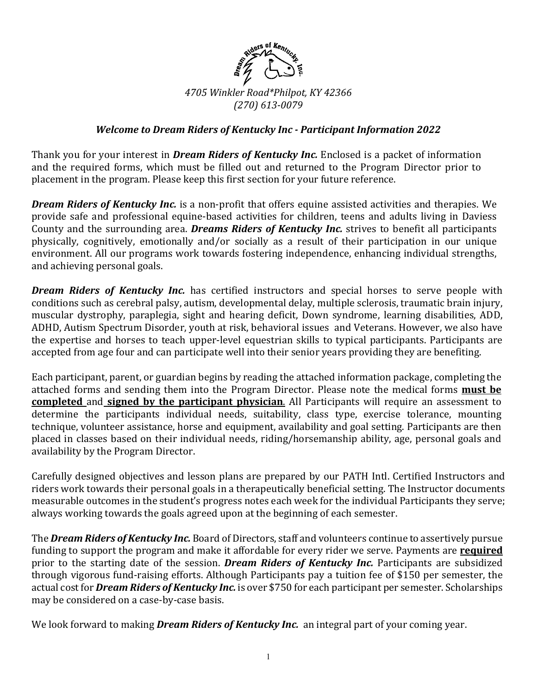

## *Welcome to Dream Riders of Kentucky Inc - Participant Information 2022*

Thank you for your interest in *Dream Riders of Kentucky Inc.* Enclosed is a packet of information and the required forms, which must be filled out and returned to the Program Director prior to placement in the program. Please keep this first section for your future reference.

*Dream Riders of Kentucky Inc.* is a non-profit that offers equine assisted activities and therapies. We provide safe and professional equine-based activities for children, teens and adults living in Daviess County and the surrounding area. *Dreams Riders of Kentucky Inc.* strives to benefit all participants physically, cognitively, emotionally and/or socially as a result of their participation in our unique environment. All our programs work towards fostering independence, enhancing individual strengths, and achieving personal goals.

*Dream Riders of Kentucky Inc.* has certified instructors and special horses to serve people with conditions such as cerebral palsy, autism, developmental delay, multiple sclerosis, traumatic brain injury, muscular dystrophy, paraplegia, sight and hearing deficit, Down syndrome, learning disabilities, ADD, ADHD, Autism Spectrum Disorder, youth at risk, behavioral issues and Veterans. However, we also have the expertise and horses to teach upper-level equestrian skills to typical participants. Participants are accepted from age four and can participate well into their senior years providing they are benefiting.

Each participant, parent, or guardian begins by reading the attached information package, completing the attached forms and sending them into the Program Director. Please note the medical forms **must be completed** and **signed by the participant physician**. All Participants will require an assessment to determine the participants individual needs, suitability, class type, exercise tolerance, mounting technique, volunteer assistance, horse and equipment, availability and goal setting. Participants are then placed in classes based on their individual needs, riding/horsemanship ability, age, personal goals and availability by the Program Director.

Carefully designed objectives and lesson plans are prepared by our PATH Intl. Certified Instructors and riders work towards their personal goals in a therapeutically beneficial setting. The Instructor documents measurable outcomes in the student's progress notes each week for the individual Participants they serve; always working towards the goals agreed upon at the beginning of each semester.

The **Dream Riders of Kentucky Inc.** Board of Directors, staff and volunteers continue to assertively pursue funding to support the program and make it affordable for every rider we serve. Payments are **required** prior to the starting date of the session. *Dream Riders of Kentucky Inc.* Participants are subsidized through vigorous fund-raising efforts. Although Participants pay a tuition fee of \$150 per semester, the actual cost for **Dream Riders of Kentucky Inc.** is over \$750 for each participant per semester. Scholarships may be considered on a case-by-case basis.

We look forward to making *Dream Riders of Kentucky Inc.* an integral part of your coming year.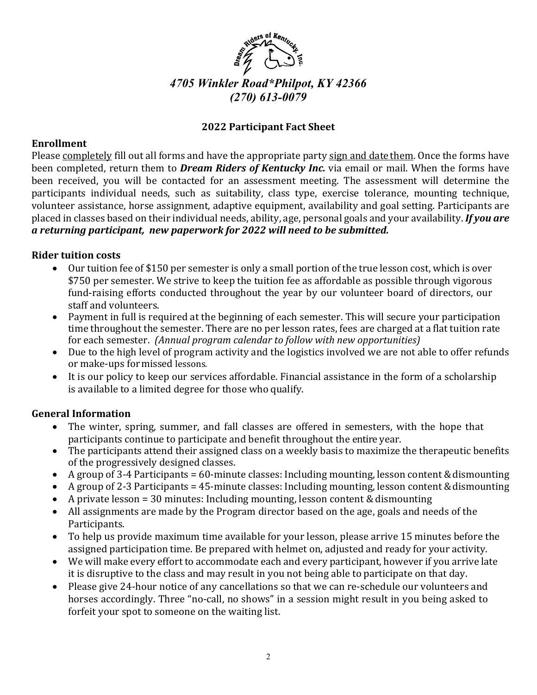

# *4705 Winkler Road\*Philpot, KY 42366 (270) 613-0079*

## **2022 Participant Fact Sheet**

## **Enrollment**

Please completely fill out all forms and have the appropriate party sign and date them. Once the forms have been completed, return them to *Dream Riders of Kentucky Inc.* via email or mail. When the forms have been received, you will be contacted for an assessment meeting. The assessment will determine the participants individual needs, such as suitability, class type, exercise tolerance, mounting technique, volunteer assistance, horse assignment, adaptive equipment, availability and goal setting. Participants are placed in classes based on their individual needs, ability, age, personal goals and your availability. *If you are a returning participant, new paperwork for 2022 will need to be submitted.*

## **Rider tuition costs**

- Our tuition fee of \$150 per semester is only a small portion of the true lesson cost, which is over \$750 per semester. We strive to keep the tuition fee as affordable as possible through vigorous fund-raising efforts conducted throughout the year by our volunteer board of directors, our staff and volunteers.
- Payment in full is required at the beginning of each semester. This will secure your participation time throughout the semester. There are no per lesson rates, fees are charged at a flat tuition rate for each semester. *(Annual program calendar to follow with new opportunities)*
- Due to the high level of program activity and the logistics involved we are not able to offer refunds or make-ups for missed lessons.
- It is our policy to keep our services affordable. Financial assistance in the form of a scholarship is available to a limited degree for those who qualify.

## **General Information**

- The winter, spring, summer, and fall classes are offered in semesters, with the hope that participants continue to participate and benefit throughout the entire year.
- The participants attend their assigned class on a weekly basis to maximize the therapeutic benefits of the progressively designed classes.
- A group of 3-4 Participants = 60-minute classes: Including mounting, lesson content & dismounting
- A group of 2-3 Participants =  $45$ -minute classes: Including mounting, lesson content & dismounting
- A private lesson = 30 minutes: Including mounting, lesson content & dismounting
- All assignments are made by the Program director based on the age, goals and needs of the Participants.
- To help us provide maximum time available for your lesson, please arrive 15 minutes before the assigned participation time. Be prepared with helmet on, adjusted and ready for your activity.
- We will make every effort to accommodate each and every participant, however if you arrive late it is disruptive to the class and may result in you not being able to participate on that day.
- Please give 24-hour notice of any cancellations so that we can re-schedule our volunteers and horses accordingly. Three "no-call, no shows" in a session might result in you being asked to forfeit your spot to someone on the waiting list.